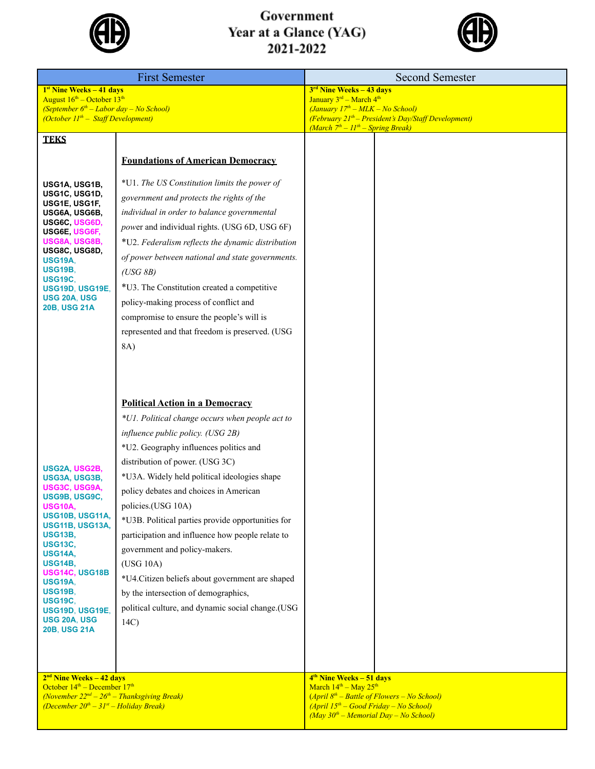

## Government Year at a Glance (YAG)<br>2021-2022



| <b>First Semester</b>                                                                                                                                         |                                                   | <b>Second Semester</b>                                                      |  |  |
|---------------------------------------------------------------------------------------------------------------------------------------------------------------|---------------------------------------------------|-----------------------------------------------------------------------------|--|--|
| 1 <sup>st</sup> Nine Weeks - 41 days                                                                                                                          |                                                   | 3 <sup>rd</sup> Nine Weeks - 43 days                                        |  |  |
| August 16 <sup>th</sup> – October 13 <sup>th</sup><br>(September $6th$ – Labor day – No School)                                                               |                                                   | January 3rd - March 4th<br>(January 17 <sup>th</sup> – MLK – No School)     |  |  |
| (October $II^{th}$ – Staff Development)                                                                                                                       |                                                   | $(Februar y 21th - President's Day/Staff Development)$                      |  |  |
|                                                                                                                                                               |                                                   | (March $7th - 11th - Spring Break$ )                                        |  |  |
| <b>TEKS</b>                                                                                                                                                   |                                                   |                                                                             |  |  |
|                                                                                                                                                               | <b>Foundations of American Democracy</b>          |                                                                             |  |  |
|                                                                                                                                                               |                                                   |                                                                             |  |  |
| USG1A, USG1B,<br>USG1C, USG1D,                                                                                                                                | *U1. The US Constitution limits the power of      |                                                                             |  |  |
| USG1E, USG1F,                                                                                                                                                 | government and protects the rights of the         |                                                                             |  |  |
| USG6A, USG6B,<br>USG6C USG6D,                                                                                                                                 | individual in order to balance governmental       |                                                                             |  |  |
| USG6E, USG6F,                                                                                                                                                 | power and individual rights. (USG 6D, USG 6F)     |                                                                             |  |  |
| USG8A, USG8B,<br>USG8C, USG8D,                                                                                                                                | *U2. Federalism reflects the dynamic distribution |                                                                             |  |  |
| <b>USG19A,</b><br><b>USG19B.</b>                                                                                                                              | of power between national and state governments.  |                                                                             |  |  |
| <b>USG19C.</b>                                                                                                                                                | (USG 8B)                                          |                                                                             |  |  |
| USG19D, USG19E,<br>USG 20A, USG                                                                                                                               | *U3. The Constitution created a competitive       |                                                                             |  |  |
| <b>20B, USG 21A</b>                                                                                                                                           | policy-making process of conflict and             |                                                                             |  |  |
|                                                                                                                                                               | compromise to ensure the people's will is         |                                                                             |  |  |
|                                                                                                                                                               | represented and that freedom is preserved. (USG   |                                                                             |  |  |
|                                                                                                                                                               | 8A)                                               |                                                                             |  |  |
|                                                                                                                                                               |                                                   |                                                                             |  |  |
|                                                                                                                                                               |                                                   |                                                                             |  |  |
|                                                                                                                                                               | <b>Political Action in a Democracy</b>            |                                                                             |  |  |
|                                                                                                                                                               | *U1. Political change occurs when people act to   |                                                                             |  |  |
|                                                                                                                                                               | influence public policy. (USG 2B)                 |                                                                             |  |  |
|                                                                                                                                                               | *U2. Geography influences politics and            |                                                                             |  |  |
|                                                                                                                                                               | distribution of power. (USG 3C)                   |                                                                             |  |  |
| USG2A, USG2B,<br>USG3A, USG3B,                                                                                                                                | *U3A. Widely held political ideologies shape      |                                                                             |  |  |
| USG3C, USG9A,                                                                                                                                                 | policy debates and choices in American            |                                                                             |  |  |
| USG9B, USG9C,<br>USG10A,                                                                                                                                      | policies.(USG 10A)                                |                                                                             |  |  |
| USG10B, USG11A,                                                                                                                                               | *U3B. Political parties provide opportunities for |                                                                             |  |  |
| USG11B, USG13A,<br><b>USG13B,</b>                                                                                                                             | participation and influence how people relate to  |                                                                             |  |  |
| <b>USG13C,</b>                                                                                                                                                | government and policy-makers.                     |                                                                             |  |  |
| <b>USG14A,</b><br><b>USG14B,</b>                                                                                                                              | (USG 10A)                                         |                                                                             |  |  |
| USG14C, USG18B<br><b>USG19A,</b>                                                                                                                              | *U4. Citizen beliefs about government are shaped  |                                                                             |  |  |
| <b>USG19B,</b>                                                                                                                                                | by the intersection of demographics,              |                                                                             |  |  |
| <b>USG19C.</b><br>USG19D, USG19E,                                                                                                                             | political culture, and dynamic social change.(USG |                                                                             |  |  |
| <b>USG 20A, USG</b>                                                                                                                                           | 14C                                               |                                                                             |  |  |
| <b>20B, USG 21A</b>                                                                                                                                           |                                                   |                                                                             |  |  |
|                                                                                                                                                               |                                                   |                                                                             |  |  |
|                                                                                                                                                               |                                                   |                                                                             |  |  |
| $2nd$ Nine Weeks – 42 days                                                                                                                                    |                                                   | $4th$ Nine Weeks – 51 days<br>March 14 <sup>th</sup> - May 25 <sup>th</sup> |  |  |
| October 14 <sup>th</sup> – December 17 <sup>th</sup><br>(November $22^{nd} - 26^{th} - Thanksgiving$ Break)<br>(December $20^{th} - 31^{st} -$ Holiday Break) |                                                   | $(April 8th - Battle of Flowers - No School)$                               |  |  |
|                                                                                                                                                               |                                                   | $(April 15th - Good Friday - No School)$                                    |  |  |
|                                                                                                                                                               |                                                   | $(May 30th - Memorial Day - No School)$                                     |  |  |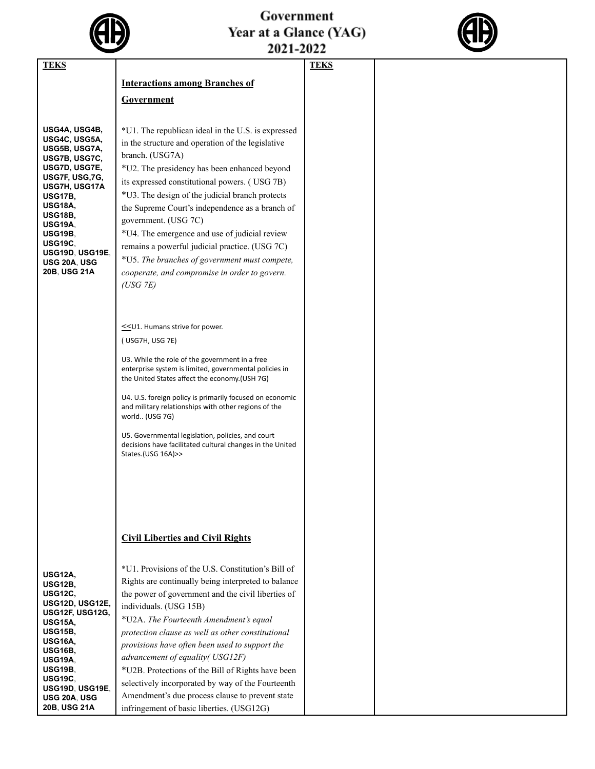

## Government<br>Year at a Glance (YAG)<br>2021-2022



| <b>TEKS</b>                                                                                                                                                                                                                                                                         |                                                                                                                                                                                                                                                                                                                                                                                                                                                                                                                                                                                                                                    | <b>TEKS</b> |  |
|-------------------------------------------------------------------------------------------------------------------------------------------------------------------------------------------------------------------------------------------------------------------------------------|------------------------------------------------------------------------------------------------------------------------------------------------------------------------------------------------------------------------------------------------------------------------------------------------------------------------------------------------------------------------------------------------------------------------------------------------------------------------------------------------------------------------------------------------------------------------------------------------------------------------------------|-------------|--|
|                                                                                                                                                                                                                                                                                     |                                                                                                                                                                                                                                                                                                                                                                                                                                                                                                                                                                                                                                    |             |  |
|                                                                                                                                                                                                                                                                                     | <b>Interactions among Branches of</b>                                                                                                                                                                                                                                                                                                                                                                                                                                                                                                                                                                                              |             |  |
|                                                                                                                                                                                                                                                                                     | Government                                                                                                                                                                                                                                                                                                                                                                                                                                                                                                                                                                                                                         |             |  |
|                                                                                                                                                                                                                                                                                     |                                                                                                                                                                                                                                                                                                                                                                                                                                                                                                                                                                                                                                    |             |  |
| USG4A, USG4B,<br>USG4C, USG5A,<br>USG5B, USG7A,<br>USG7B, USG7C,<br>USG7D, USG7E,<br>USG7F, USG,7G,<br>USG7H, USG17A<br><b>USG17B,</b><br><b>USG18A,</b><br><b>USG18B,</b><br><b>USG19A.</b><br><b>USG19B,</b><br><b>USG19C.</b><br>USG19D, USG19E,<br>USG 20A, USG<br>20B, USG 21A | *U1. The republican ideal in the U.S. is expressed<br>in the structure and operation of the legislative<br>branch. (USG7A)<br>*U2. The presidency has been enhanced beyond<br>its expressed constitutional powers. (USG 7B)<br>*U3. The design of the judicial branch protects<br>the Supreme Court's independence as a branch of<br>government. (USG 7C)<br>*U4. The emergence and use of judicial review<br>remains a powerful judicial practice. (USG 7C)<br>*U5. The branches of government must compete,<br>cooperate, and compromise in order to govern.<br>(USG 7E)                                                         |             |  |
|                                                                                                                                                                                                                                                                                     | ≤U1. Humans strive for power.<br>(USG7H, USG 7E)<br>U3. While the role of the government in a free<br>enterprise system is limited, governmental policies in<br>the United States affect the economy.(USH 7G)<br>U4. U.S. foreign policy is primarily focused on economic<br>and military relationships with other regions of the<br>world (USG 7G)<br>U5. Governmental legislation, policies, and court<br>decisions have facilitated cultural changes in the United<br>States.(USG 16A)>>                                                                                                                                        |             |  |
| <b>USG12A.</b><br><b>USG12B.</b><br><b>USG12C,</b><br>USG12D, USG12E,<br>USG12F, USG12G,<br><b>USG15A.</b><br><b>USG15B,</b><br><b>USG16A.</b><br><b>USG16B.</b><br><b>USG19A.</b><br><b>USG19B.</b><br><b>USG19C.</b><br>USG19D, USG19E,<br>USG 20A, USG<br>20B, USG 21A           | <b>Civil Liberties and Civil Rights</b><br>*U1. Provisions of the U.S. Constitution's Bill of<br>Rights are continually being interpreted to balance<br>the power of government and the civil liberties of<br>individuals. (USG 15B)<br>*U2A. The Fourteenth Amendment's equal<br>protection clause as well as other constitutional<br>provisions have often been used to support the<br>advancement of equality(USG12F)<br>*U2B. Protections of the Bill of Rights have been<br>selectively incorporated by way of the Fourteenth<br>Amendment's due process clause to prevent state<br>infringement of basic liberties. (USG12G) |             |  |